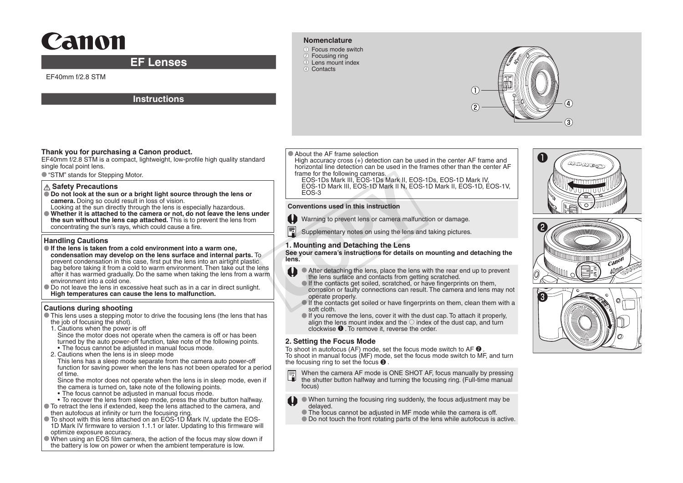# Canon

## **EF Lenses**

EF40mm f/2.8 STM

### **Instructions**

#### **Nomenclature**

●① Focus mode switch 2 Focusing ring **3** Lens mount index 4 Contacts



#### **Thank you for purchasing a Canon product.**

EF40mm f/2.8 STM is a compact, lightweight, low-profile high quality standard single focal point lens.

● "STM" stands for Stepping Motor.

#### **Safety Precautions**

- **Do not look at the sun or a bright light source through the lens or camera.** Doing so could result in loss of vision.
- Looking at the sun directly through the lens is especially hazardous. ● **Whether it is attached to the camera or not, do not leave the lens under the sun without the lens cap attached.** This is to prevent the lens from concentrating the sun's rays, which could cause a fire.

#### **Handling Cautions**

- **If the lens is taken from a cold environment into a warm one, condensation may develop on the lens surface and internal parts.** To prevent condensation in this case, first put the lens into an airtight plastic bag before taking it from a cold to warm environment. Then take out the lens after it has warmed gradually. Do the same when taking the lens from a warm environment into a cold one.
- Do not leave the lens in excessive heat such as in a car in direct sunlight. **High temperatures can cause the lens to malfunction.**

#### **Cautions during shooting**

- This lens uses a stepping motor to drive the focusing lens (the lens that has the job of focusing the shot).
- 1. Cautions when the power is off

Since the motor does not operate when the camera is off or has been turned by the auto power-off function, take note of the following points. • The focus cannot be adjusted in manual focus mode.

2. Cautions when the lens is in sleep mode

This lens has a sleep mode separate from the camera auto power-off function for saving power when the lens has not been operated for a period of time.

Since the motor does not operate when the lens is in sleep mode, even if the camera is turned on, take note of the following points.

- The focus cannot be adjusted in manual focus mode.
- To recover the lens from sleep mode, press the shutter button halfway. ● To retract the lens if extended, keep the lens attached to the camera, and
- then autofocus at infinity or turn the focusing ring. ● To shoot with this lens attached on an EOS-1D Mark IV, update the EOS-1D Mark IV firmware to version 1.1.1 or later. Updating to this firmware will optimize exposure accuracy.
- When using an EOS film camera, the action of the focus may slow down if the battery is low on power or when the ambient temperature is low.

#### ● About the AF frame selection

High accuracy cross (+) detection can be used in the center AF frame and horizontal line detection can be used in the frames other than the center AF frame for the following cameras.

EOS-1Ds Mark III, EOS-1Ds Mark II, EOS-1Ds, EOS-1D Mark IV, EOS-1D Mark III, EOS-1D Mark II N, EOS-1D Mark II, EOS-1D, EOS-1V, EOS-3

#### **Conventions used in this instruction**

- Warning to prevent lens or camera malfunction or damage.
- Supplementary notes on using the lens and taking pictures.

#### **1. Mounting and Detaching the Lens**

**See your camera's instructions for details on mounting and detaching the lens.**

- After detaching the lens, place the lens with the rear end up to prevent the lens surface and contacts from getting scratched.
- $\bullet$  If the contacts get soiled, scratched, or have fingerprints on them. corrosion or faulty connections can result. The camera and lens may not operate properly. EOS-1D Mark III, EOS-1D Mark II N, EO<br>
EOS-3<br>
Conventions used in this instruction<br>
Prevent lens or camera malful<br>
Supplementary notes on using the lens<br>
See your camera's instructions for details of<br>
See your camera's ins
	- $\bullet$  If the contacts get soiled or have fingerprints on them, clean them with a soft cloth.
	- $\bullet$  If you remove the lens, cover it with the dust cap. To attach it properly, align the lens mount index and the  $\odot$  index of the dust cap, and turn clockwise  $\bullet$ . To remove it, reverse the order.

#### **2. Setting the Focus Mode**

To shoot in autofocus (AF) mode, set the focus mode switch to AF  $\Theta$ . To shoot in manual focus (MF) mode, set the focus mode switch to MF, and turn the focusing ring to set the focus ❸ .

- When the camera AF mode is ONE SHOT AF, focus manually by pressing 同 the shutter button halfway and turning the focusing ring. (Full-time manual focus)
- When turning the focusing ring suddenly, the focus adjustment may be delayed.
	- The focus cannot be adjusted in MF mode while the camera is off.
	- Do not touch the front rotating parts of the lens while autofocus is active.